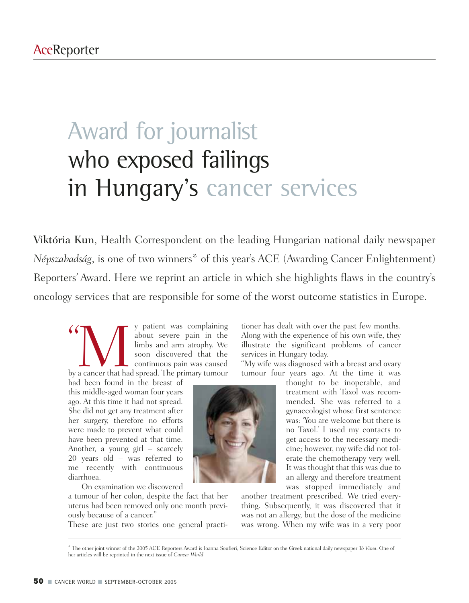## Award for journalist who exposed failings in Hungary's cancer services

Viktória Kun, Health Correspondent on the leading Hungarian national daily newspaper *Népszabadság*, is one of two winners\* of this year's ACE (Awarding Cancer Enlightenment) Reporters' Award. Here we reprint an article in which she highlights flaws in the country's oncology services that are responsible for some of the worst outcome statistics in Europe.

(*)* We about severe pain in the limbs and arm atrophy. We soon discovered that the continuous pain was caused by a cancer that had spread. The primary tumour about severe pain in the limbs and arm atrophy. We soon discovered that the continuous pain was caused

had been found in the breast of this middle-aged woman four years ago. At this time it had not spread. She did not get any treatment after her surgery, therefore no efforts were made to prevent what could have been prevented at that time. Another, a young girl – scarcely 20 years old – was referred to me recently with continuous diarrhoea.

On examination we discovered

a tumour of her colon, despite the fact that her uterus had been removed only one month previously because of a cancer."

These are just two stories one general practi-

tioner has dealt with over the past few months. Along with the experience of his own wife, they illustrate the significant problems of cancer services in Hungary today.

"My wife was diagnosed with a breast and ovary tumour four years ago. At the time it was

thought to be inoperable, and treatment with Taxol was recommended. She was referred to a gynaecologist whose first sentence was: 'You are welcome but there is no Taxol.' I used my contacts to get access to the necessary medicine; however, my wife did not tolerate the chemotherapy very well. It was thought that this was due to an allergy and therefore treatment was stopped immediately and

another treatment prescribed. We tried everything. Subsequently, it was discovered that it was not an allergy, but the dose of the medicine was wrong. When my wife was in a very poor



<sup>\*</sup> The other joint winner of the 2005 ACE Reporters Award is Ioanna Soufleri, Science Editor on the Greek national daily newspaper *To Vima*. One of her articles will be reprinted in the next issue of *Cancer World*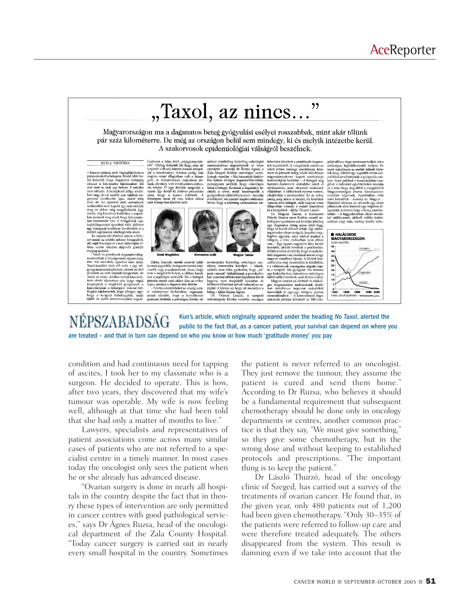## " "Taxol, az nincs...

Magyarországon ma a daganatos beteg gyógyulási esélyei rosszabbak, mint akár tőlünk pár száz kilométerre. De még az országon belül sem mindegy, ki és melyik intézetbe kerül. A szakorvosok epidemiológiai válságról beszélnek.

## KUN L VIKTÓRIA

 $\begin{tabular}{p{0.875\textwidth}} \textbf{KUNY} & \textbf{NVMY} & \textbf{NVMY} \\ \hline \textbf{KASVovadásra, erős bestgängfäjddonnra  
panaszkodott a betegem. Rövid idón be-  
tül kideritik, hogy dagandats betegség  
mañ ren is osak egy helyem. Symide  
emne iőszok ezőlyem. Sokor meg  
lem negó szveté zeldott mat alatlak da-  
gandos devaltezólyen. Egyz, akkor me  
andokoselskra optačat, legus, akkor me  
maksik, alléja betzővets figut  
make, sz$ 

látás szinte minden alapvető göndját szinte minde-és petefeszek-daganatot diagnazottal monszizisátlak a feleségemel, éppen négy exaki monszitzátlak a feleségemel, éppen négy Taxol-kezelést írtak, elő neki, segy nő-győgyáz Taxol, az nucs. Amikot rorvosi kapcsola-<br>taim révén eljutottam oda, hogy végül<br>megkaptuk a megfelelő gyógyszert, a<br>kemoterárpián a feleségem rosszul lett.<br>Rögtön kijelentették, hogy alempia, úgy-<br>hogy a terápiát félbehagyt

Csaknem a teljes kört "végigzongoráztuk". Utólag fedezték <br/>Külg fedezték Kű, hogy nem al-ták a készíményt Amikor pedig már angyon rossz állapotban volt a helsé p<br/>gm, és folyamatosan csapotban ragyon rossz állapotb

adásul elméletileg kizárólag onkológiai centrumókban engedélyezik az üjven operációt – mondja dr. Ruzsa Ágnes, a Zala Megvei Kórnkz onkológiai osztászkatat kivárszéttelegyei készészés alattat eletésze dagyanteletívoltást, a doktornő, aki szerint alapkövetelmény<br>lenne, hogy a rákbeteg utókezelésre, ke



 $\begin{minipage}{0.9\textwidth} \begin{tabular}{p{0.85\textwidth}} \textbf{m} & \textbf{m} & \textbf{m} & \textbf{m} & \textbf{m} & \textbf{m} \\ \textbf{m} & \textbf{m} & \textbf{c} & \textbf{r} & \textbf{r} & \textbf{r} & \textbf{r} \\ \textbf{a)} & \textbf{m} & \textbf{c} & \textbf{r} & \textbf{r} & \textbf{r} & \textbf{r} \\ \textbf{a)} & \textbf{m} & \textbf{r} & \textbf{r} & \textbf{r} & \textbf{r} & \textbf{r} & \$ nem a megetero neuye, s toomt aerum<br>nek a segítségre szorulók. Ma a betegek<br>jelentős részét csak akkor látja az onkológus, amikor a dagamat már áttétes.<br>– Petefészekműtéteket az ország szinte<br>neumannyi kórházában végeznek,

felmérést készített a petefészek-dagana-<br>tok kezeléséről. A vizsgálatok szerint az<br>adott évben mintegy ezerkétszáz felis<br>mert és jelentett beteg közül mindössze<br>mégyszáznyolvan kapott ezerhatszáz<br>kemoterápiás kezelést. –

kennoterspiss kezelést – A betegek alig<br> kezelést – A betegek alig<br> naminc-harminc<br/>barminc-harminc starialeks jutott el ellátásban $\Lambda$  többi<br/>elenke, azaz rászserel ellátásban $\Lambda$  többiednek nyom a veszett, el<br/> zamentum kapitanskega a vélemények összegzése alapján kap<br>ta a terápiát. Ma gyógyult. Ha mindez<br>egy kiskórházban, bármilyen onkológiai<br>háttér nélkül történik, nem él már a lány

Magyar szerint az elérhető és szüksé-<br>es diagnosztikai eszközöknek általá-Magyar szerint az elérhető és szükséges diagnosztikai eszközöknek általá-<br>ban mindössze negyven százalékát<br>használják ki egy-egy ráktípus pontos<br>azonosításához. – A kismedencei daga-<br>natoknál például kötelező az MR-vizs-

gálat althoz, hogy pontosan tudjuk, mia szűsséges, leghatékonyabb terjain. Ez mot mindősze az esetek felénel történek mik meg. Jóllebet igy legalább ötven számmat zalálat a tunomatker-viz-zalákkal javulhatnának a gyógyulá mın kenmusu – monaja ar. vangar.<br>Ráadásul idehaza az orvosok egy része<br>pillanatok alatt kimond egy végletes di-<br>agnózsis, mármint hogy a beteg member<br>tetten. – A leggyakrabban olyan esetek-<br>kel találkozunk, akikről vidéki



NÉPSZABADSÁ Kun's article, which originally appeared under the heading *No Taxol*, alerted the public to the fact that, as a cancer patient, your survival can depend on where you are treated – and that in turn can depend on who you know or how much 'gratitude money' you pay

condition and had continuous need for tapping of ascites, I took her to my classmate who is a surgeon. He decided to operate. This is how, after two years, they discovered that my wife's tumour was operable. My wife is now feeling well, although at that time she had been told that she had only a matter of months to live."

Lawyers, specialists and representatives of patient associations come across many similar cases of patients who are not referred to a specialist centre in a timely manner. In most cases today the oncologist only sees the patient when he or she already has advanced disease.

"Ovarian surgery is done in nearly all hospitals in the country despite the fact that in theory these types of intervention are only permitted in cancer centres with good pathological services," says Dr Ágnes Ruzsa, head of the oncological department of the Zala County Hospital. "Today cancer surgery is carried out in nearly every small hospital in the country. Sometimes the patient is never referred to an oncologist. They just remove the tumour, they assume the patient is cured and send them home." According to Dr Ruzsa, who believes it should be a fundamental requirement that subsequent chemotherapy should be done only in oncology departments or centres, another common practice is that they say, "We must give something," so they give some chemotherapy, but in the wrong dose and without keeping to established protocols and prescriptions. "The important thing is to keep the patient."

Dr László Thurzó, head of the oncology clinic of Szeged, has carried out a survey of the treatments of ovarian cancer. He found that, in the given year, only 480 patients out of 1,200 had been given chemotherapy. "Only 30–35% of the patients were referred to follow-up care and were therefore treated adequately. The others disappeared from the system. This result is damning even if we take into account that the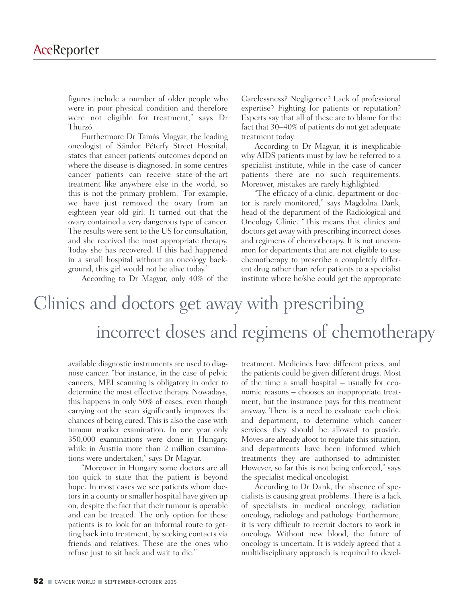figures include a number of older people who were in poor physical condition and therefore were not eligible for treatment," says Dr Thurzó.

Furthermore Dr Tamás Magyar, the leading oncologist of Sándor Péterfy Street Hospital, states that cancer patients' outcomes depend on where the disease is diagnosed. In some centres cancer patients can receive state-of-the-art treatment like anywhere else in the world, so this is not the primary problem. "For example, we have just removed the ovary from an eighteen year old girl. It turned out that the ovary contained a very dangerous type of cancer. The results were sent to the US for consultation, and she received the most appropriate therapy. Today she has recovered. If this had happened in a small hospital without an oncology background, this girl would not be alive today."

According to Dr Magyar, only 40% of the

Carelessness? Negligence? Lack of professional expertise? Fighting for patients or reputation? Experts say that all of these are to blame for the fact that 30–40% of patients do not get adequate treatment today.

According to Dr Magyar, it is inexplicable why AIDS patients must by law be referred to a specialist institute, while in the case of cancer patients there are no such requirements. Moreover, mistakes are rarely highlighted.

"The efficacy of a clinic, department or doctor is rarely monitored," says Magdolna Dank, head of the department of the Radiological and Oncology Clinic. "This means that clinics and doctors get away with prescribing incorrect doses and regimens of chemotherapy. It is not uncommon for departments that are not eligible to use chemotherapy to prescribe a completely different drug rather than refer patients to a specialist institute where he/she could get the appropriate

## Clinics and doctors get away with prescribing incorrect doses and regimens of chemotherapy

available diagnostic instruments are used to diagnose cancer. "For instance, in the case of pelvic cancers, MRI scanning is obligatory in order to determine the most effective therapy. Nowadays, this happens in only 50% of cases, even though carrying out the scan significantly improves the chances of being cured. This is also the case with tumour marker examination. In one year only 350,000 examinations were done in Hungary, while in Austria more than 2 million examinations were undertaken," says Dr Magyar.

"Moreover in Hungary some doctors are all too quick to state that the patient is beyond hope. In most cases we see patients whom doctors in a county or smaller hospital have given up on, despite the fact that their tumour is operable and can be treated. The only option for these patients is to look for an informal route to getting back into treatment, by seeking contacts via friends and relatives. These are the ones who refuse just to sit back and wait to die."

treatment. Medicines have different prices, and the patients could be given different drugs. Most of the time a small hospital – usually for economic reasons – chooses an inappropriate treatment, but the insurance pays for this treatment anyway. There is a need to evaluate each clinic and department, to determine which cancer services they should be allowed to provide. Moves are already afoot to regulate this situation, and departments have been informed which treatments they are authorised to administer. However, so far this is not being enforced," says the specialist medical oncologist.

According to Dr Dank, the absence of specialists is causing great problems. There is a lack of specialists in medical oncology, radiation oncology, radiology and pathology. Furthermore, it is very difficult to recruit doctors to work in oncology. Without new blood, the future of oncology is uncertain. It is widely agreed that a multidisciplinary approach is required to devel